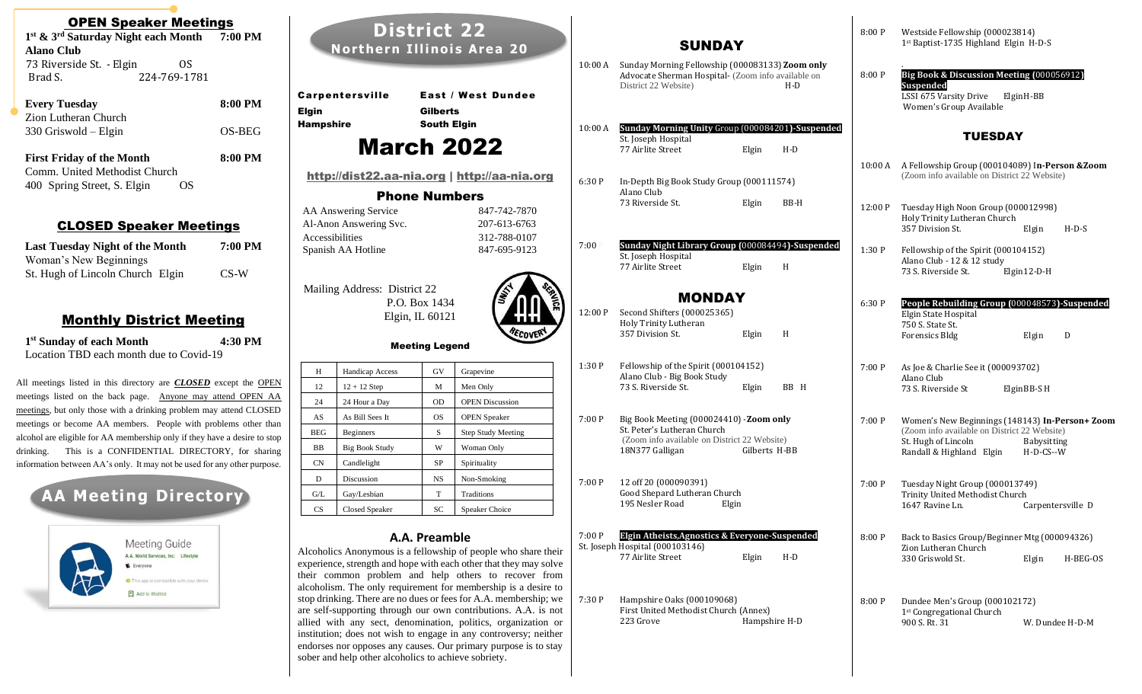| <b>OPEN Speaker Meetings</b>                                                                                                                |         |                                |            |
|---------------------------------------------------------------------------------------------------------------------------------------------|---------|--------------------------------|------------|
| 1st & 3rd Saturday Night each Month                                                                                                         | 7:00 PM |                                |            |
| <b>Alano Club</b>                                                                                                                           |         |                                | <b>Nor</b> |
| 73 Riverside St. - Elgin<br>OS                                                                                                              |         |                                |            |
| 224-769-1781<br>Brad S.                                                                                                                     |         |                                |            |
| <b>Every Tuesday</b>                                                                                                                        | 8:00 PM | <b>Carpenters</b>              |            |
| Zion Lutheran Church                                                                                                                        |         | <b>Elgin</b>                   |            |
| 330 Griswold - Elgin                                                                                                                        | OS-BEG  | <b>Hampshire</b>               |            |
| <b>First Friday of the Month</b>                                                                                                            | 8:00 PM |                                |            |
| Comm. United Methodist Church                                                                                                               |         | <u>http://dis</u>              |            |
| 400 Spring Street, S. Elgin<br>OS                                                                                                           |         |                                |            |
|                                                                                                                                             |         |                                |            |
|                                                                                                                                             |         | AA Answerin<br>Al-Anon Ans     |            |
| <b>CLOSED Speaker Meetings</b>                                                                                                              |         | Accessibilitie                 |            |
| <b>Last Tuesday Night of the Month</b>                                                                                                      | 7:00 PM | Spanish AA I                   |            |
| Woman's New Beginnings                                                                                                                      |         |                                |            |
| St. Hugh of Lincoln Church Elgin                                                                                                            | $CS-W$  |                                |            |
|                                                                                                                                             |         | Mailing Add                    |            |
|                                                                                                                                             |         |                                |            |
| <u> Monthly District Meeting</u>                                                                                                            |         |                                |            |
| 1 <sup>st</sup> Sunday of each Month                                                                                                        | 4:30 PM |                                |            |
| Location TBD each month due to Covid-19                                                                                                     |         |                                |            |
|                                                                                                                                             |         | Н                              | Hand       |
| All meetings listed in this directory are <b>CLOSED</b> except the OPEN                                                                     |         | 12                             | $12 +$     |
| meetings listed on the back page. Anyone may attend OPEN AA                                                                                 |         | 24                             | 24 H       |
| meetings, but only those with a drinking problem may attend CLOSED                                                                          |         | AS                             | As B       |
| meetings or become AA members. People with problems other than<br>alcohol are eligible for AA membership only if they have a desire to stop |         | <b>BEG</b>                     | Begi       |
| This is a CONFIDENTIAL DIRECTORY, for sharing<br>drinking.                                                                                  | BB      | Big I                          |            |
| information between AA's only. It may not be used for any other purpose.                                                                    |         | CN                             | Cand       |
|                                                                                                                                             |         | D                              | Discu      |
| <b>AA Meeting Directory</b>                                                                                                                 |         | G/L                            | Gay/       |
|                                                                                                                                             |         | CS                             | Clos       |
|                                                                                                                                             |         |                                |            |
| <b>Meeting Guide</b>                                                                                                                        |         |                                |            |
| A.A. World Services, Inc. Lifestyle                                                                                                         |         | Alcoholics And                 |            |
| E Everyone                                                                                                                                  |         | experience, stre               |            |
| <b>O</b> This app is compatible with your device                                                                                            |         | their common<br>alcoholism. Th |            |
| Add to Wishlist                                                                                                                             |         | stop drinking. 7               |            |
|                                                                                                                                             |         | are self-suppor                |            |

| <b>District 22</b><br><b>Northern Illinois Area 20</b> |                        |                                          | 10:00A                                                                                                                                                                                                                                                                  | <b>SUNDAY</b><br>Sunday Morning Fellowship (000083133) Zoom only<br>Advocate Sherman Hospital- (Zoom info available on |                                                                                  |               |       |
|--------------------------------------------------------|------------------------|------------------------------------------|-------------------------------------------------------------------------------------------------------------------------------------------------------------------------------------------------------------------------------------------------------------------------|------------------------------------------------------------------------------------------------------------------------|----------------------------------------------------------------------------------|---------------|-------|
| <b>Elgin</b>                                           | Carpentersville        | <b>Gilberts</b>                          | <b>East / West Dundee</b>                                                                                                                                                                                                                                               |                                                                                                                        | District 22 Website)                                                             |               | $H-D$ |
| <b>Hampshire</b>                                       |                        | <b>South Elgin</b>                       |                                                                                                                                                                                                                                                                         | 10:00 A                                                                                                                | Sunday Morning Unity Group (000084201)-Suspended                                 |               |       |
|                                                        | <b>March 2022</b>      |                                          |                                                                                                                                                                                                                                                                         |                                                                                                                        | St. Joseph Hospital<br>77 Airlite Street                                         | Elgin         | $H-D$ |
|                                                        |                        |                                          | http://dist22.aa-nia.org   http://aa-nia.org                                                                                                                                                                                                                            | 6:30P                                                                                                                  | In-Depth Big Book Study Group (000111574)                                        |               |       |
|                                                        |                        | <b>Phone Numbers</b>                     |                                                                                                                                                                                                                                                                         |                                                                                                                        | Alano Club<br>73 Riverside St.                                                   | Elgin         | BB-H  |
|                                                        | AA Answering Service   |                                          | 847-742-7870                                                                                                                                                                                                                                                            |                                                                                                                        |                                                                                  |               |       |
| Accessibilities                                        | Al-Anon Answering Svc. |                                          | 207-613-6763<br>312-788-0107                                                                                                                                                                                                                                            |                                                                                                                        |                                                                                  |               |       |
|                                                        | Spanish AA Hotline     |                                          | 847-695-9123                                                                                                                                                                                                                                                            | 7:00P                                                                                                                  | Sunday Night Library Group (000084494)-Suspended                                 |               |       |
|                                                        |                        |                                          |                                                                                                                                                                                                                                                                         |                                                                                                                        | St. Joseph Hospital<br>77 Airlite Street                                         | Elgin         | H     |
|                                                        |                        | Elgin, IL 60121<br><b>Meeting Legend</b> | ECOV                                                                                                                                                                                                                                                                    |                                                                                                                        | Holy Trinity Lutheran<br>357 Division St.                                        | Elgin         | H     |
| H                                                      | Handicap Access        | GV                                       | Grapevine                                                                                                                                                                                                                                                               | 1:30P                                                                                                                  | Fellowship of the Spirit (000104152)<br>Alano Club - Big Book Study              |               |       |
| 12                                                     | $12 + 12$ Step         | M                                        | Men Only                                                                                                                                                                                                                                                                |                                                                                                                        | 73 S. Riverside St.                                                              | Elgin         | BB H  |
| 24                                                     | 24 Hour a Day          | <b>OD</b>                                | <b>OPEN Discussion</b>                                                                                                                                                                                                                                                  |                                                                                                                        |                                                                                  |               |       |
| AS                                                     | As Bill Sees It        | <b>OS</b>                                | <b>OPEN</b> Speaker                                                                                                                                                                                                                                                     | 7:00P                                                                                                                  | Big Book Meeting (000024410) -Zoom only                                          |               |       |
| <b>BEG</b>                                             | Beginners              | $\rm S$                                  | <b>Step Study Meeting</b>                                                                                                                                                                                                                                               |                                                                                                                        | St. Peter's Lutheran Church<br>(Zoom info available on District 22 Website)      |               |       |
| BB                                                     | <b>Big Book Study</b>  | W                                        | Woman Only                                                                                                                                                                                                                                                              |                                                                                                                        | 18N377 Galligan                                                                  | Gilberts H-BB |       |
| CN                                                     | Candlelight            | SP                                       | Spirituality                                                                                                                                                                                                                                                            |                                                                                                                        |                                                                                  |               |       |
| D                                                      | Discussion             | <b>NS</b>                                | Non-Smoking                                                                                                                                                                                                                                                             | 7:00P                                                                                                                  | 12 off 20 (000090391)                                                            |               |       |
| G/L                                                    | Gay/Lesbian            | $\mathbf T$                              | Traditions                                                                                                                                                                                                                                                              |                                                                                                                        | Good Shepard Lutheran Church<br>195 Nesler Road                                  | Elgin         |       |
| <b>CS</b>                                              | Closed Speaker         | SC                                       | Speaker Choice                                                                                                                                                                                                                                                          |                                                                                                                        |                                                                                  |               |       |
|                                                        |                        | A.A. Preamble                            |                                                                                                                                                                                                                                                                         | 7:00P                                                                                                                  | Elgin Atheists, Agnostics & Everyone-Suspended                                   |               |       |
|                                                        |                        |                                          | Alcoholics Anonymous is a fellowship of people who share their<br>experience, strength and hope with each other that they may solve<br>their common problem and help others to recover from<br>alcoholism. The only requirement for membership is a desire to           |                                                                                                                        | St. Joseph Hospital (000103146)<br>77 Airlite Street                             | Elgin         | $H-D$ |
|                                                        |                        |                                          | stop drinking. There are no dues or fees for A.A. membership; we<br>are self-supporting through our own contributions. A.A. is not<br>allied with any sect, denomination, politics, organization or<br>institution; does not wish to engage in any controversy; neither | 7:30P                                                                                                                  | Hampshire Oaks (000109068)<br>First United Methodist Church (Annex)<br>223 Grove | Hampshire H-D |       |

endorses nor opposes any causes. Our primary purpose is to stay

sober and help other alcoholics to achieve sobriety.

|                                                       | 8:00P   | Westside Fellowship (000023814)<br>1st Baptist-1735 Highland Elgin H-D-S                                    |                           |  |  |  |
|-------------------------------------------------------|---------|-------------------------------------------------------------------------------------------------------------|---------------------------|--|--|--|
| 00083133) Zoom only<br>oom info available on<br>$H-D$ | 8:00P   | Big Book & Discussion Meeting (000056912)<br>Suspended<br>LSSI 675 Varsity Drive<br>Women's Group Available | Elgin H-BB                |  |  |  |
| (000084201)-Suspended                                 |         | <b>TUESDAY</b>                                                                                              |                           |  |  |  |
| Elgin<br>H-D                                          |         |                                                                                                             |                           |  |  |  |
| (000111574)                                           | 10:00 A | A Fellowship Group (000104089) In-Person & Zoom<br>(Zoom info available on District 22 Website)             |                           |  |  |  |
| Elgin<br>BB-H                                         | 12:00P  | Tuesday High Noon Group (000012998)<br>Holy Trinity Lutheran Church<br>357 Division St.                     | $H-D-S$<br>Elgin          |  |  |  |
| [000084494 <b>]-Suspended</b>                         | 1:30 P  | Fellowship of the Spirit (000104152)<br>Alano Club - 12 & 12 study                                          |                           |  |  |  |
| H<br>Elgin                                            |         | 73 S. Riverside St.                                                                                         | Elgin $12-D-H$            |  |  |  |
|                                                       | 6:30P   | People Rebuilding Group (000048573)-Suspended<br>Elgin State Hospital                                       |                           |  |  |  |
| H<br>Elgin                                            |         | 750 S. State St.<br><b>Forensics Bldg</b>                                                                   | D<br>Elgin                |  |  |  |
| 4152)                                                 | 7:00P   | As Joe & Charlie See it (000093702)<br>Alano Club                                                           |                           |  |  |  |
| Elgin<br>BB H                                         |         | 73 S. Riverside St                                                                                          | Elgin BB-S H              |  |  |  |
| -Zoom only                                            | 7:00 P  | Women's New Beginnings (148143) In-Person+ Zoom<br>(Zoom info available on District 22 Website)             |                           |  |  |  |
| 22 Website)<br>Gilberts H-BB                          |         | St. Hugh of Lincoln<br>Randall & Highland Elgin                                                             | Babysitting<br>$H-D-CS-H$ |  |  |  |
|                                                       | 7:00P   | Tuesday Night Group (000013749)<br>Trinity United Methodist Church<br>1647 Ravine Ln.                       | Carpentersville D         |  |  |  |
| eryone-Suspended                                      | 8:00P   | Back to Basics Group/Beginner Mtg (000094326)<br>Zion Lutheran Church                                       |                           |  |  |  |
| Elgin<br>$H-D$                                        |         | 330 Griswold St.                                                                                            | Elgin<br>H-BEG-OS         |  |  |  |
| (Annex)                                               | 8:00P   | Dundee Men's Group (000102172)<br>1st Congregational Church                                                 |                           |  |  |  |
| Hampshire H-D                                         |         | 900 S. Rt. 31                                                                                               | W. Dundee H-D-M           |  |  |  |